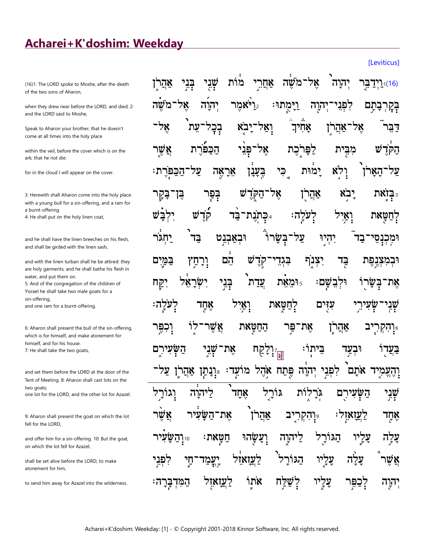## Acharei+K'doshim: Weekday

(16)1: The LORD spoke to Moshe, after the death of the two sons of Aharon,

when they drew near before the LORD, and died; 2: and the LORD said to Moshe,

Speak to Aharon your brother, that he doesn't come at all times into the holy place

within the yeil, before the cover which is on the ark: that he not die:

for in the cloud I will appear on the cover.

3: Herewith shall Aharon come into the holy place: with a young bull for a sin-offering, and a ram for a burnt-offering.

4: He shall put on the holy linen coat,

and he shall have the linen breeches on his flesh and shall be girded with the linen sash,

and with the linen turban shall he be attired: they are holy garments; and he shall bathe his flesh in water, and put them on.

5: And of the congregation of the children of Yisrael he shall take two male goats for a sin-offering, and one ram for a burnt-offering.

6: Aharon shall present the bull of the sin-offering, which is for himself, and make atonement for himself, and for his house. 7: He shall take the two goats,

and set them before the LORD at the door of the Tent of Meeting. 8: Aharon shall cast lots on the two goats: one lot for the LORD, and the other lot for Azazel.

9: Aharon shall present the goat on which the lot fell for the LORD.

and offer him for a sin-offering. 10: But the goat, on which the lot fell for Azazel,

shall be set alive before the LORD, to make atonement for him,

to send him away for Azazel into the wilderness.

|  |  | <sup>(16)וּ</sup> וַיְדַבִּּרָ יְהוָה <sup>ַ</sup> אֶל־מֹשֶׁה אַחֲרֵי מֹוֹת שְׁבָי בְּנִי אַחֲרֶֹן      |  |  |  |
|--|--|---------------------------------------------------------------------------------------------------------|--|--|--|
|  |  | בְּקְרְבָתָם לִפְגַי־יְהוֶה וַיָּמֻתוּ: 2ֵו <sup>ֹ</sup> ּאמֶר יְהוָה אֶל־מֹשֶׁה                        |  |  |  |
|  |  | דַּבֵּר אֶל־אַהֲרֹוָ אָהִידִ וָאַל־יָב <sup>ָ</sup> א בְבָל־עֵת <sup>י</sup> אֶל־                       |  |  |  |
|  |  | ײַקֹּדֶשׁ מִבֵּית לַפָּרְכֶת אֶל־פְּנֵי הַכַּפֿ <sup>יָ</sup> רָת אֲשֶׁר                                |  |  |  |
|  |  | ַ צַל־הָאָרֹז יְרָאַ יָמֹוּת כִּי בֶּצָבָן אָרָאֶה צַל־הַבַּפְּרֶת                                      |  |  |  |
|  |  | <sup>ۊ</sup> ִבְּזָאת יָב <sup>ָ</sup> א אַהֲרֹן אָל־הַקְּדָ <sup>יָ</sup> שׁ בְּפַּר בֶּזְ־בָּקֶר      |  |  |  |
|  |  | לְחַטָּאת וָאַיִּל לְעֹלְה <sup>ָ,</sup> <sub>יּּ</sub> בְּתְנֻת־בַּד קוֹדֶ־שׁ יִלְבָּשׁ                |  |  |  |
|  |  | וּמְכְנָסֵי־בַד יִהְיַוּ עַל־בְּשָׂרוֹ וּבְאַבְנִט בַּד <sup>י</sup> יַחְגֹּר                           |  |  |  |
|  |  | וּבְמִצְגֶפֶת בַּד יִצְגֶף בִּגְדֵי־קְדֶשׁ הֵם וְרָחַץ בַּמֲיָם                                         |  |  |  |
|  |  | אָת־בְּשָׂרֻוֹּ וּלְבִשָּׁםः <sub>יּ</sub> וּמֵאֵת עֲדַת <sup>ַ</sup> בְּנִי יִשְׂרָאֵל יִקַּח          |  |  |  |
|  |  | ּשְׁנְיִר־שְׂעִירֵיִ עִזָּיִם לְחַטְָּאת וְאַיִּל אָחֶד לְעֹלְה:                                        |  |  |  |
|  |  | יָּנְהִקְרִיָּב אַהֲרֹן אֶת־פַּּר הַחַטָּאת אֲשֶׁר־לֹוָ וְכִפֶּרּ $\frac{1}{2}$                         |  |  |  |
|  |  | בַּצֲדָוֹ וּבְצַד בֵּיתוֹ: זְּיָלָקָח אֶת־שָּׁנִי הַשָּׂיִנִירֶם                                        |  |  |  |
|  |  | וְהָעֲמְיָד אֹתָם <sup>י</sup> לִפְגִי יְהוֹה כֶּּתַח אָהֶל מוֹעִד: <sub>יْ</sub> וְנָתַן אַהֲרֹוָ עַל־ |  |  |  |
|  |  | שָׁבִּי הַשְּׂעִירָם גִּבְרָוֹת גּוֹרָל אָחָד <sup>י</sup> לַיהוָה וְגוֹרָל                             |  |  |  |
|  |  | אֶחֶד לַעֲזָאזְל <sup>ָ</sup> ∘ּיְהִקְרָיָב אַהֲרֹן אֶת־הַשָּׂעִיר אֲשֶׁר                               |  |  |  |
|  |  | עָלָה עָלֶיו הַגּוֹרָל לַיהִוֶה וְעָשָׂהוּ חַטְּאת: ז <sub>ּי</sub> ּוְהַשָּׂעִיר                       |  |  |  |
|  |  | אֲשֶׁר <sup>ْ</sup> עָלָה עָלְיו הַגּוֹרָל <sup>י</sup> לַעֲזָאוֹל יְעֲמַד־חֵָי לִפְגִ <sup>ָ</sup> י   |  |  |  |
|  |  | יְהוֶה לְכַפִּּר עָלֶיוּ לְשַׁלַָּח אֹתְוֹ לַעֲזָאזֶל הַמִּדְבָּרָה:                                    |  |  |  |